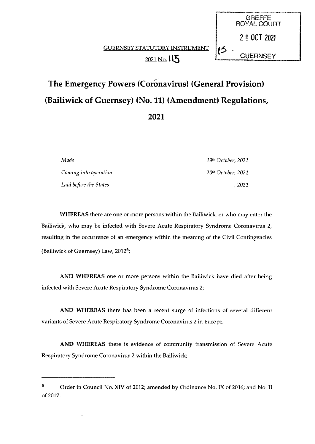# GUERNSEY STATUTORY INSTRUMENT 2021 No. 115

# The Emergency Powers (Corónavirus) (General Provision) (Bailiwick of Guernsey) (No. 11) (Amendment) Regulations, 2021

Made 19th October, 2021 Coming into operation 20<sup>th</sup> October, 2021 Laid before the States , 2021

**GREFFE** ROYAL COURT

20 OCT <sup>2021</sup>

**GUERNSEY** 

WHEREAS there are one or more persons within the Bailiwick, or who may enter the Bailiwick, who may be infected with Severe Acute Respiratory Syndrome Coronavirus 2, resulting in the occurrence of an emergency within the meaning of the Civil Contingencies (Bailiwick of Guernsey) Law,  $2012<sup>a</sup>$ ;

AND WHEREAS one or more persons within the Bailiwick have died after being infected with Severe Acute Respiratory Syndrome Coronavirus 2;

AND WHEREAS there has been a recent surge of infections of several different variants of Severe Acute Respiratory Syndrome Coronavirus 2 in Europe;

AND WHEREAS there is evidence of community transmission of Severe Acute Respiratory Syndrome Coronavirus 2 within the Bailiwick;

<sup>&</sup>lt;sup>a</sup> Order in Council No. XIV of 2012; amended by Ordinance No. IX of 2016; and No. II of 2017.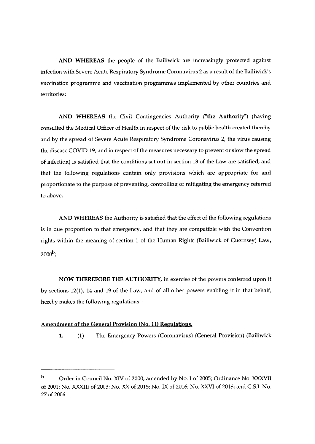AND WHEREAS the people of the Bailiwick are increasingly protected against infection with Severe Acute Respiratory Syndrome Coronavirus 2 as a result of the Bailiwick's vaccination programme and vaccination programmes implemented by other countries and territories;

AND WHEREAS the Civil Contingencies Authority ("the Authority) (having consulted the Medical Officer of Health in respect of the risk to public health created thereby and by the spread of Severe Acute Respiratory Syndrome Coronavirus 2, the virus causing the disease COVID-19, and in respect of the measures necessary to prevent or slow the spread of infection) is satisfied that the conditions set out in section 13 of the Law are satisfied, and that the following regulations contain only provisions which are appropriate for and proportionate to the purpose of preventing, controlling or mitigating the emergency referred to above;

AND WHEREAS the Authority is satisfied that the effect of the following regulations is in due proportion to that emergency, and that they are compatible with the Convention rights within the meaning of section <sup>1</sup> of the Human Rights (Bailiwick of Guernsey) Law,  $2000^{\rm b}$ 

NOW THEREFORE THE AUTHORITY, in exercise of the powers conferred upon it by sections 12(1), 14 and 19 of the Law, and of all other powers enabling it in that behalf, hereby makes the following regulations: —

#### Amendment of the General Provision (No. 11) Regulations.

1. (1) The Emergency Powers (Coronavirus) (General Provision) (Bailiwick

b Order in Council No. XIV of 2000; amended by No. I of 2005; Ordinance No. XXXVII of 2001; No. XXXIII of 2003; No. XX of 2015; No. IX of 2016; No. XXVI of 2018; and G.S.I. No. 27 of 2006.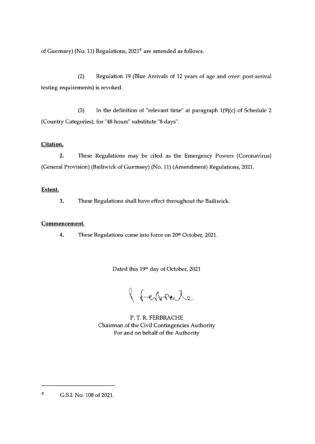of Guernsey) (No. 11) Regulations,  $2021<sup>c</sup>$  are amended as follows.

(2) Regulation 19 (Blue Arrivals of 12 years of age and over: post-arrival testing requirements) is revoked.

(3) In the definition of "relevant time" at paragraph  $1(9)(c)$  of Schedule 2 (Country Categories), for "48 hours" substitute "8 days".

### Citation.

2. These Regulations may be cited as the Emergency Powers (Coronavirus) (General Provision) (Bailiwick of Guernsey) (No. 11) (Amendment) Regulations, 2021.

## Extent.

3. These Regulations shall have effect throughout the Bailiwick.

# Commencement.

4. These Regulations come into force on  $20<sup>th</sup>$  October, 2021.

Dated this 19th day of October, 2021

l ferroile

P. T. R. FERBRACHE Chairman of the Civil Contingencies Authority For and on behalf of the Authority

<sup>c</sup> G.S.I. No. 108 of 2021.